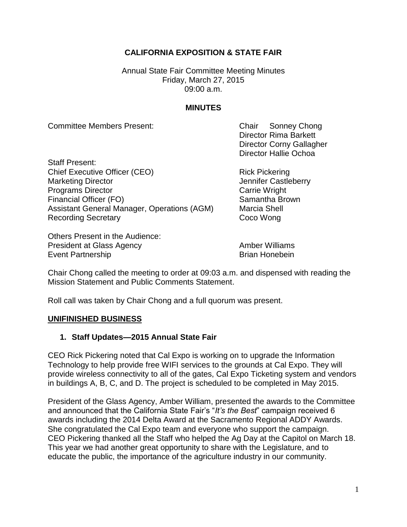# **CALIFORNIA EXPOSITION & STATE FAIR**

Annual State Fair Committee Meeting Minutes Friday, March 27, 2015 09:00 a.m.

### **MINUTES**

Committee Members Present: Chair Sonney Chong

Director Rima Barkett Director Corny Gallagher Director Hallie Ochoa

Staff Present: Chief Executive Officer (CEO) Rick Pickering Marketing Director **Marketing Director** Marketing Director **Jennifer Castleberry Programs Director** Carrie Wright Financial Officer (FO) Samantha Brown Assistant General Manager, Operations (AGM) Marcia Shell Recording Secretary **Coco Wong** 

Others Present in the Audience: President at Glass Agency **Amber Williams** Event Partnership **Brian Honebein** 

Chair Chong called the meeting to order at 09:03 a.m. and dispensed with reading the Mission Statement and Public Comments Statement.

Roll call was taken by Chair Chong and a full quorum was present.

#### **UNIFINISHED BUSINESS**

## **1. Staff Updates—2015 Annual State Fair**

CEO Rick Pickering noted that Cal Expo is working on to upgrade the Information Technology to help provide free WIFI services to the grounds at Cal Expo. They will provide wireless connectivity to all of the gates, Cal Expo Ticketing system and vendors in buildings A, B, C, and D. The project is scheduled to be completed in May 2015.

President of the Glass Agency, Amber William, presented the awards to the Committee and announced that the California State Fair's "*It's the Best*" campaign received 6 awards including the 2014 Delta Award at the Sacramento Regional ADDY Awards. She congratulated the Cal Expo team and everyone who support the campaign. CEO Pickering thanked all the Staff who helped the Ag Day at the Capitol on March 18. This year we had another great opportunity to share with the Legislature, and to educate the public, the importance of the agriculture industry in our community.